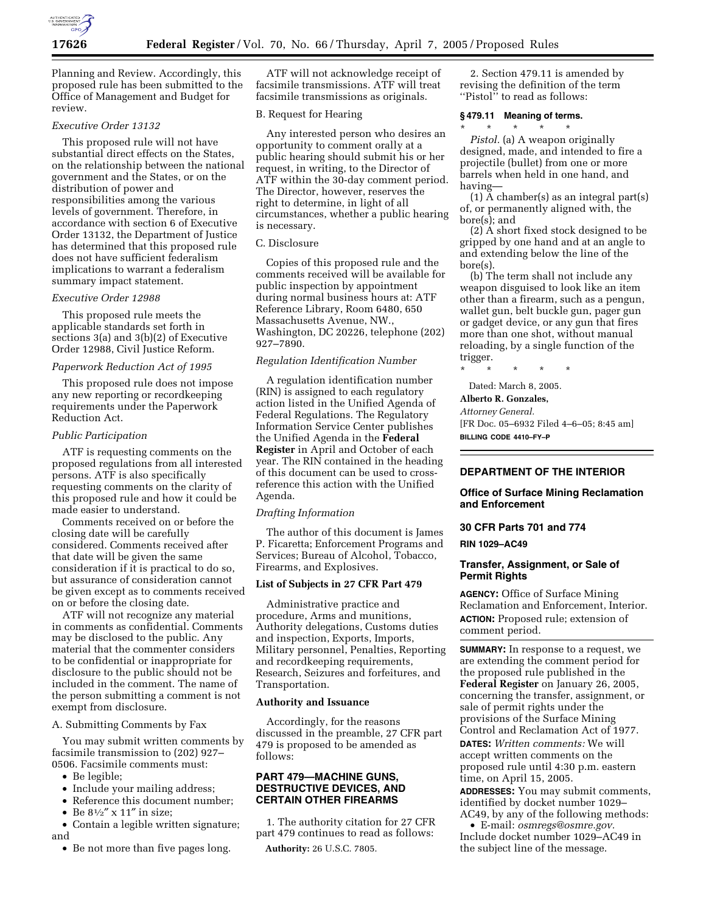

Planning and Review. Accordingly, this proposed rule has been submitted to the Office of Management and Budget for review.

## *Executive Order 13132*

This proposed rule will not have substantial direct effects on the States, on the relationship between the national government and the States, or on the distribution of power and responsibilities among the various levels of government. Therefore, in accordance with section 6 of Executive Order 13132, the Department of Justice has determined that this proposed rule does not have sufficient federalism implications to warrant a federalism summary impact statement.

# *Executive Order 12988*

This proposed rule meets the applicable standards set forth in sections 3(a) and 3(b)(2) of Executive Order 12988, Civil Justice Reform.

### *Paperwork Reduction Act of 1995*

This proposed rule does not impose any new reporting or recordkeeping requirements under the Paperwork Reduction Act.

#### *Public Participation*

ATF is requesting comments on the proposed regulations from all interested persons. ATF is also specifically requesting comments on the clarity of this proposed rule and how it could be made easier to understand.

Comments received on or before the closing date will be carefully considered. Comments received after that date will be given the same consideration if it is practical to do so, but assurance of consideration cannot be given except as to comments received on or before the closing date.

ATF will not recognize any material in comments as confidential. Comments may be disclosed to the public. Any material that the commenter considers to be confidential or inappropriate for disclosure to the public should not be included in the comment. The name of the person submitting a comment is not exempt from disclosure.

A. Submitting Comments by Fax

You may submit written comments by facsimile transmission to (202) 927– 0506. Facsimile comments must:

- Be legible;
- Include your mailing address;
- Reference this document number;
- Be  $8^{1}/2''$  x 11" in size;

• Contain a legible written signature; and

• Be not more than five pages long.

ATF will not acknowledge receipt of facsimile transmissions. ATF will treat facsimile transmissions as originals.

### B. Request for Hearing

Any interested person who desires an opportunity to comment orally at a public hearing should submit his or her request, in writing, to the Director of ATF within the 30-day comment period. The Director, however, reserves the right to determine, in light of all circumstances, whether a public hearing is necessary.

### C. Disclosure

Copies of this proposed rule and the comments received will be available for public inspection by appointment during normal business hours at: ATF Reference Library, Room 6480, 650 Massachusetts Avenue, NW., Washington, DC 20226, telephone (202) 927–7890.

## *Regulation Identification Number*

A regulation identification number (RIN) is assigned to each regulatory action listed in the Unified Agenda of Federal Regulations. The Regulatory Information Service Center publishes the Unified Agenda in the **Federal Register** in April and October of each year. The RIN contained in the heading of this document can be used to crossreference this action with the Unified Agenda.

#### *Drafting Information*

The author of this document is James P. Ficaretta; Enforcement Programs and Services; Bureau of Alcohol, Tobacco, Firearms, and Explosives.

## **List of Subjects in 27 CFR Part 479**

Administrative practice and procedure, Arms and munitions, Authority delegations, Customs duties and inspection, Exports, Imports, Military personnel, Penalties, Reporting and recordkeeping requirements, Research, Seizures and forfeitures, and Transportation.

### **Authority and Issuance**

Accordingly, for the reasons discussed in the preamble, 27 CFR part 479 is proposed to be amended as follows:

### **PART 479—MACHINE GUNS, DESTRUCTIVE DEVICES, AND CERTAIN OTHER FIREARMS**

1. The authority citation for 27 CFR part 479 continues to read as follows:

**Authority:** 26 U.S.C. 7805.

2. Section 479.11 is amended by revising the definition of the term "Pistol" to read as follows:

#### **§ 479.11 Meaning of terms.**

\* \* \* \* \* *Pistol.* (a) A weapon originally designed, made, and intended to fire a projectile (bullet) from one or more barrels when held in one hand, and having—

(1) A chamber(s) as an integral part(s) of, or permanently aligned with, the bore(s); and

(2) A short fixed stock designed to be gripped by one hand and at an angle to and extending below the line of the bore(s).

(b) The term shall not include any weapon disguised to look like an item other than a firearm, such as a pengun, wallet gun, belt buckle gun, pager gun or gadget device, or any gun that fires more than one shot, without manual reloading, by a single function of the trigger.

\* \* \* \* \* Dated: March 8, 2005.

#### **Alberto R. Gonzales,**

*Attorney General.*

[FR Doc. 05–6932 Filed 4–6–05; 8:45 am] **BILLING CODE 4410–FY–P**

# **DEPARTMENT OF THE INTERIOR**

### **Office of Surface Mining Reclamation and Enforcement**

### **30 CFR Parts 701 and 774**

**RIN 1029–AC49**

## **Transfer, Assignment, or Sale of Permit Rights**

**AGENCY:** Office of Surface Mining Reclamation and Enforcement, Interior. **ACTION:** Proposed rule; extension of comment period.

**SUMMARY:** In response to a request, we are extending the comment period for the proposed rule published in the **Federal Register** on January 26, 2005, concerning the transfer, assignment, or sale of permit rights under the provisions of the Surface Mining Control and Reclamation Act of 1977. **DATES:** *Written comments:* We will accept written comments on the proposed rule until 4:30 p.m. eastern time, on April 15, 2005.

**ADDRESSES:** You may submit comments, identified by docket number 1029– AC49, by any of the following methods:

• E-mail: *osmregs@osmre.gov.* Include docket number 1029–AC49 in the subject line of the message.